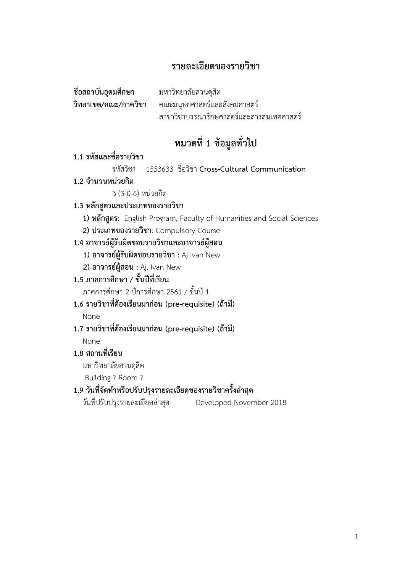## **รายละเอียดของรายวิชา**

| ชื่อสถาบันอุดมศึกษา  | มหาวิทยาลัยสวนดุสิต                      |
|----------------------|------------------------------------------|
| วิทยาเขต/คณะ/ภาควิชา | คณะมนุษยศาสตร์และสังคมศาสตร์             |
|                      | สาขาวิชาบรรณารักษศาสตร์และสารสนเทศศาสตร์ |

## **หมวดที่ 1 ข้อมูลทั่วไป**

#### **1.1 รหัสและชื่อรายวิชา**

รหัสวิชา 1553633 ชื่อวิชา **Cross-Cultural Communication**

**1.2 จ านวนหน่วยกิต**

3 (3-0-6) หน่วยกิต

#### **1.3 หลักสูตรและประเภทของรายวิชา**

**1) หลักสูตร:** English Program, Faculty of Humanities and Social Sciences

**2) ประเภทของรายวิชา**: Compulsory Course

#### **1.4 อาจารย์ผู้รับผิดชอบรายวิชาและอาจารย์ผู้สอน**

**1) อาจารย์ผู้รับผิดชอบรายวิชา :** Aj Ivan New

**2) อาจารย์ผู้สอน :** Aj. Ivan New

**1.5 ภาคการศึกษา / ชั้นปีที่เรียน**

ภาคการศึกษา 2 ปีการศึกษา 2561 / ชั้นปี 1

**1.6 รายวิชาที่ต้องเรียนมาก่อน (pre-requisite) (ถ้ามี)**

None

**1.7 รายวิชาที่ต้องเรียนมาก่อน (pre-requisite) (ถ้ามี)**

None

#### **1.8 สถานที่เรียน**

มหาวิทยาลัยสวนดุสิต

Building ? Room ?

#### **1.9 วันที่จัดท าหรือปรับปรุงรายละเอียดของรายวิชาครั้งล่าสุด**

วันที่ปรับปรุงรายละเอียดล่าสุด Developed November 2018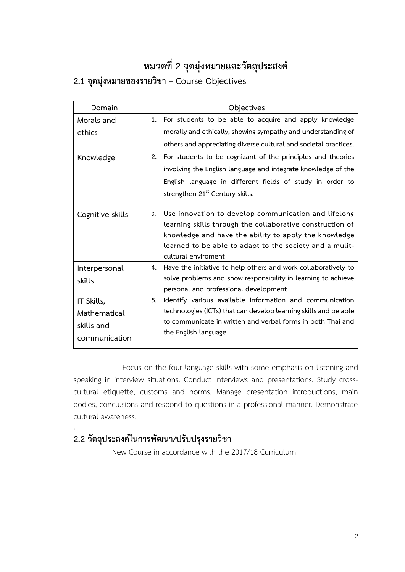# **หมวดที่ 2 จุดมุ่งหมายและวัตถุประสงค์**

# **2.1 จุดมุ่งหมายของรายวิชา – Course Objectives**

| Domain           | Objectives                                                           |
|------------------|----------------------------------------------------------------------|
| Morals and       | 1. For students to be able to acquire and apply knowledge            |
| ethics           | morally and ethically, showing sympathy and understanding of         |
|                  | others and appreciating diverse cultural and societal practices.     |
| Knowledge        | 2. For students to be cognizant of the principles and theories       |
|                  | involving the English language and integrate knowledge of the        |
|                  | English language in different fields of study in order to            |
|                  | strengthen 21 <sup>st</sup> Century skills.                          |
|                  |                                                                      |
| Cognitive skills | Use innovation to develop communication and lifelong<br>3.           |
|                  | learning skills through the collaborative construction of            |
|                  | knowledge and have the ability to apply the knowledge                |
|                  | learned to be able to adapt to the society and a mulit-              |
|                  | cultural enviroment                                                  |
| Interpersonal    | Have the initiative to help others and work collaboratively to<br>4. |
| skills           | solve problems and show responsibility in learning to achieve        |
|                  | personal and professional development                                |
| IT Skills,       | 5.<br>Identify various available information and communication       |
| Mathematical     | technologies (ICTs) that can develop learning skills and be able     |
| skills and       | to communicate in written and verbal forms in both Thai and          |
|                  | the English language                                                 |
| communication    |                                                                      |

Focus on the four language skills with some emphasis on listening and speaking in interview situations. Conduct interviews and presentations. Study crosscultural etiquette, customs and norms. Manage presentation introductions, main bodies, conclusions and respond to questions in a professional manner. Demonstrate cultural awareness.

## **2.2 วัตถุประสงค์ในการพัฒนา/ปรับปรุงรายวิชา**

.

New Course in accordance with the 2017/18 Curriculum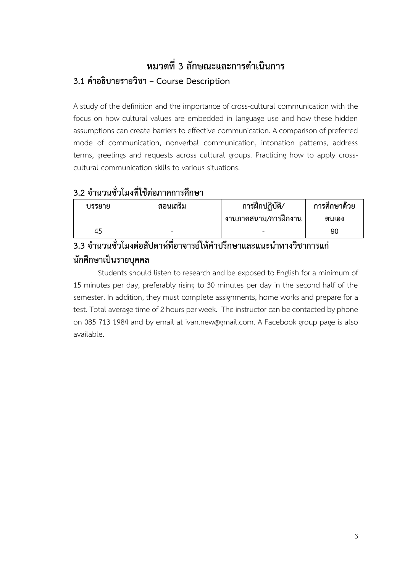## **หมวดที่3 ลักษณะและการด าเนินการ 3.1 ค าอธิบายรายวิชา – Course Description**

A study of the definition and the importance of cross-cultural communication with the focus on how cultural values are embedded in language use and how these hidden assumptions can create barriers to effective communication. A comparison of preferred mode of communication, nonverbal communication, intonation patterns, address terms, greetings and requests across cultural groups. Practicing how to apply crosscultural communication skills to various situations.

## **3.2 จ านวนชั่วโมงที่ใช้ต่อภาคการศึกษา**

| บรรยาย | สอนเสริม | การฝึกปฏิบัติ/<br>ึ งานภาคสนาม/การฝึกงาน | การศึกษาด้วย<br>ิตนเอง |
|--------|----------|------------------------------------------|------------------------|
| 45     | -        |                                          | 90                     |

## **3.3 จ านวนชั่วโมงต่อสัปดาห์ที่อาจารย์ให้ค าปรึกษาและแนะน าทางวิชาการแก่ นักศึกษาเป็นรายบุคคล**

Students should listen to research and be exposed to English for a minimum of 15 minutes per day, preferably rising to 30 minutes per day in the second half of the semester. In addition, they must complete assignments, home works and prepare for a test. Total average time of 2 hours per week. The instructor can be contacted by phone on 085 713 1984 and by email at [ivan.new@gmail.com.](mailto:ivan.new@gmail.com) A Facebook group page is also available.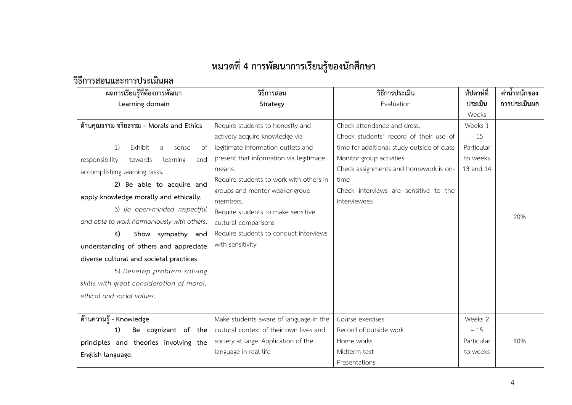# **หมวดที่4 การพัฒนาการเรียนรู้ของนักศึกษา**

## **วิธีการสอนและการประเมินผล**

| ผลการเรียนรู้ที่ต้องการพัฒนา                 | วิธีการสอน                              | วิธีการประเมิน                             | สัปดาห์ที่ | ค่าน้ำหนักของ |
|----------------------------------------------|-----------------------------------------|--------------------------------------------|------------|---------------|
| Learning domain                              | Strategy                                | Evaluation                                 | ประเมิน    | การประเมินผล  |
|                                              |                                         |                                            | Weeks      |               |
| ด้านคุณธรรม จริยธรรม – Morals and Ethics     | Require students to honestly and        | Check attendance and dress.                | Weeks 1    |               |
|                                              | actively acquire knowledge via          | Check students' record of their use of     | $-15$      |               |
| Exhibit<br>1)<br>of<br>a<br>sense            | legitimate information outlets and      | time for additional study outside of class | Particular |               |
| responsibility<br>and<br>towards<br>learning | present that information via legitimate | Monitor group activities                   | to weeks   |               |
| accomplishing learning tasks.                | means.                                  | Check assignments and homework is on-      | 13 and 14  |               |
| 2) Be able to acquire and                    | Require students to work with others in | time                                       |            |               |
| apply knowledge morally and ethically.       | groups and mentor weaker group          | Check interviews are sensitive to the      |            |               |
|                                              | members.                                | interviewees                               |            |               |
| 3) Be open-minded respectful                 | Require students to make sensitive      |                                            |            | 20%           |
| and able to work harmoniously with others.   | cultural comparisons                    |                                            |            |               |
| 4)<br>Show sympathy and                      | Require students to conduct interviews  |                                            |            |               |
| understanding of others and appreciate       | with sensitivity                        |                                            |            |               |
| diverse cultural and societal practices.     |                                         |                                            |            |               |
| 5) Develop problem solving                   |                                         |                                            |            |               |
| skills with great consideration of moral,    |                                         |                                            |            |               |
| ethical and social values.                   |                                         |                                            |            |               |
|                                              |                                         |                                            |            |               |
| ด้านความรู้ - Knowledge                      | Make students aware of language in the  | Course exercises                           | Weeks 2    |               |
| Be cognizant of the<br>1)                    | cultural context of their own lives and | Record of outside work                     | $-15$      |               |
| principles and theories involving the        | society at large. Application of the    | Home works<br>Particular                   |            | 40%           |
| English language.                            | language in real life                   | Midterm test                               | to weeks   |               |
|                                              |                                         | Presentations                              |            |               |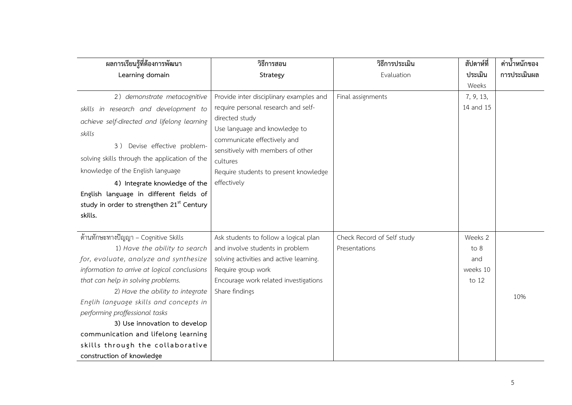| ผลการเรียนรู้ที่ต้องการพัฒนา                          | วิธีการสอน                              | วิธีการประเมิน             | สัปดาห์ที่ | ค่าน้ำหนักของ |
|-------------------------------------------------------|-----------------------------------------|----------------------------|------------|---------------|
| Learning domain                                       | Strategy                                | Evaluation                 | ประเมิน    | การประเมินผล  |
|                                                       |                                         |                            | Weeks      |               |
| 2) demonstrate metacognitive                          | Provide inter disciplinary examples and | Final assignments          | 7, 9, 13,  |               |
| skills in research and development to                 | require personal research and self-     |                            | 14 and 15  |               |
| achieve self-directed and lifelong learning           | directed study                          |                            |            |               |
| skills                                                | Use language and knowledge to           |                            |            |               |
| 3) Devise effective problem-                          | communicate effectively and             |                            |            |               |
|                                                       | sensitively with members of other       |                            |            |               |
| solving skills through the application of the         | cultures                                |                            |            |               |
| knowledge of the English language                     | Require students to present knowledge   |                            |            |               |
| 4) Integrate knowledge of the                         | effectively                             |                            |            |               |
| English language in different fields of               |                                         |                            |            |               |
| study in order to strengthen 21 <sup>st</sup> Century |                                         |                            |            |               |
| skills.                                               |                                         |                            |            |               |
|                                                       |                                         |                            |            |               |
| ้ด้านทักษะทางปัญญา – Cognitive Skills                 | Ask students to follow a logical plan   | Check Record of Self study | Weeks 2    |               |
| 1) Have the ability to search                         | and involve students in problem         | Presentations              | to 8       |               |
| for, evaluate, analyze and synthesize                 | solving activities and active learning. |                            | and        |               |
| information to arrive at logical conclusions          | Require group work                      |                            | weeks 10   |               |
| that can help in solving problems.                    | Encourage work related investigations   |                            | to 12      |               |
| 2) Have the ability to integrate                      | Share findings                          |                            |            | 10%           |
| Englih language skills and concepts in                |                                         |                            |            |               |
| performing proffessional tasks                        |                                         |                            |            |               |
| 3) Use innovation to develop                          |                                         |                            |            |               |
| communication and lifelong learning                   |                                         |                            |            |               |
| skills through the collaborative                      |                                         |                            |            |               |
| construction of knowledge                             |                                         |                            |            |               |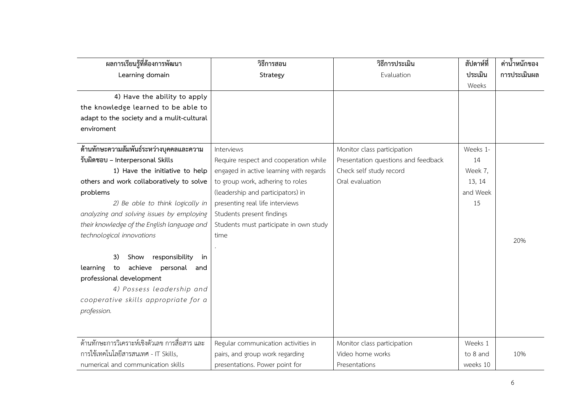| ผลการเรียนรู้ที่ต้องการพัฒนา                    | วิธีการสอน                              | วิธีการประเมิน                      | สัปดาห์ที่ | ค่าน้ำหนักของ |
|-------------------------------------------------|-----------------------------------------|-------------------------------------|------------|---------------|
| Learning domain                                 | Strategy                                | Evaluation                          | ประเมิน    | การประเมินผล  |
|                                                 |                                         |                                     | Weeks      |               |
| 4) Have the ability to apply                    |                                         |                                     |            |               |
| the knowledge learned to be able to             |                                         |                                     |            |               |
| adapt to the society and a mulit-cultural       |                                         |                                     |            |               |
| enviroment                                      |                                         |                                     |            |               |
|                                                 |                                         |                                     |            |               |
| ด้านทักษะความสัมพันธ์ระหว่างบุคคลและความ        | Interviews                              | Monitor class participation         | Weeks 1-   |               |
| รับผิดชอบ - Interpersonal Skills                | Require respect and cooperation while   | Presentation questions and feedback | 14         |               |
| 1) Have the initiative to help                  | engaged in active learning with regards | Check self study record             | Week 7,    |               |
| others and work collaboratively to solve        | to group work, adhering to roles        | Oral evaluation                     | 13, 14     |               |
| problems                                        | (leadership and participators) in       |                                     | and Week   |               |
| 2) Be able to think logically in                | presenting real life interviews         |                                     | 15         |               |
| analyzing and solving issues by employing       | Students present findings               |                                     |            |               |
| their knowledge of the English language and     | Students must participate in own study  |                                     |            |               |
| technological innovations                       | time                                    |                                     |            | 20%           |
|                                                 |                                         |                                     |            |               |
| responsibility<br>3)<br>Show<br>in              |                                         |                                     |            |               |
| to achieve<br>personal<br>learning<br>and       |                                         |                                     |            |               |
| professional development                        |                                         |                                     |            |               |
| 4) Possess leadership and                       |                                         |                                     |            |               |
| cooperative skills appropriate for a            |                                         |                                     |            |               |
| profession.                                     |                                         |                                     |            |               |
|                                                 |                                         |                                     |            |               |
|                                                 |                                         |                                     |            |               |
| ้ด้านทักษะการวิเคราะห์เชิงตัวเลข การสื่อสาร และ | Regular communication activities in     | Monitor class participation         | Weeks 1    |               |
| การใช้เทคโนโลยีสารสนเทศ - IT Skills,            | pairs, and group work regarding         | Video home works                    | to 8 and   | 10%           |
| numerical and communication skills              | presentations. Power point for          | Presentations                       | weeks 10   |               |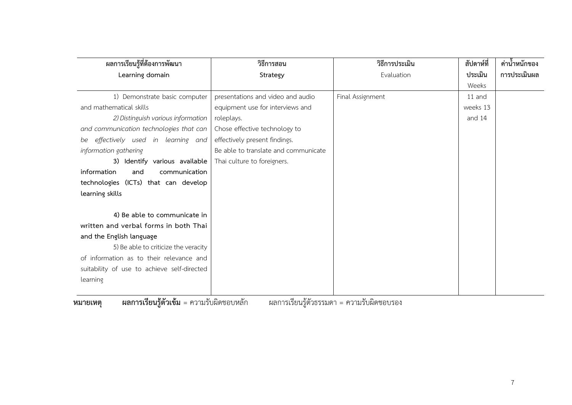| ผลการเรียนรู้ที่ต้องการพัฒนา                | วิธีการสอน                              | วิธีการประเมิน   | สัปดาห์ที่ | ี ค่าน้ำหนักของ |
|---------------------------------------------|-----------------------------------------|------------------|------------|-----------------|
| Learning domain                             | Strategy                                | Evaluation       | ประเมิน    | การประเมินผล    |
|                                             |                                         |                  | Weeks      |                 |
| 1) Demonstrate basic computer               | presentations and video and audio       | Final Assignment | 11 and     |                 |
| and mathematical skills                     | equipment use for interviews and        |                  | weeks 13   |                 |
| 2) Distinguish various information          | roleplays.                              |                  | and 14     |                 |
| and communication technologies that can     | Chose effective technology to           |                  |            |                 |
| effectively used in learning and<br>be      | effectively present findings.           |                  |            |                 |
| information gathering                       | Be able to translate and communicate    |                  |            |                 |
| 3) Identify various available               | Thai culture to foreigners.             |                  |            |                 |
| information<br>communication<br>and         |                                         |                  |            |                 |
| technologies (ICTs) that can develop        |                                         |                  |            |                 |
| learning skills                             |                                         |                  |            |                 |
|                                             |                                         |                  |            |                 |
| 4) Be able to communicate in                |                                         |                  |            |                 |
| written and verbal forms in both Thai       |                                         |                  |            |                 |
| and the English language                    |                                         |                  |            |                 |
| 5) Be able to criticize the veracity        |                                         |                  |            |                 |
| of information as to their relevance and    |                                         |                  |            |                 |
| suitability of use to achieve self-directed |                                         |                  |            |                 |
| learning                                    |                                         |                  |            |                 |
| പ റെ പ                                      | $\mathbf{v}$<br>ല മറ<br>$\omega$ $\sim$ | <i>പ</i> പ       |            |                 |

**หมายเหตุ ผลการเรียนรู้ตัวเข้ม** = ความรับผิดชอบหลัก ผลการเรียนรู้ตัวธรรมดา = ความรับผิดชอบรอง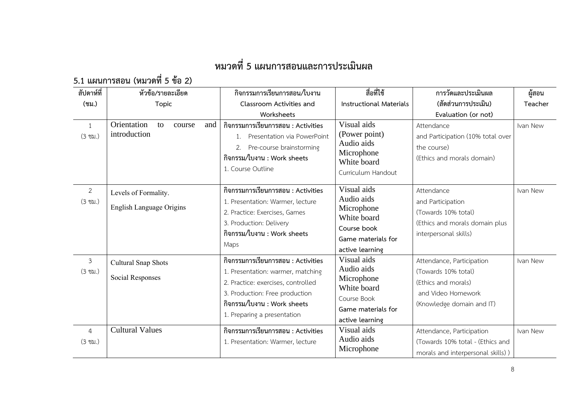# **หมวดที่5 แผนการสอนและการประเมินผล**

**5.1 แผนการสอน (หมวดที่ 5 ข้อ 2)**

| สัปดาห์ที่                          | หัวข้อ/รายละเอียด                                       | กิจกรรมการเรียนการสอน/ใบงาน                                                                                                                                                                                   | สื่อที่ใช้                                                                                                     | การวัดและประเมินผล                                                                                                         | ผู้สอน   |
|-------------------------------------|---------------------------------------------------------|---------------------------------------------------------------------------------------------------------------------------------------------------------------------------------------------------------------|----------------------------------------------------------------------------------------------------------------|----------------------------------------------------------------------------------------------------------------------------|----------|
| $($ ชม. $)$                         | <b>Topic</b>                                            | Classroom Activities and                                                                                                                                                                                      | <b>Instructional Materials</b>                                                                                 | (สัดส่วนการประเมิน)                                                                                                        | Teacher  |
|                                     |                                                         | Worksheets                                                                                                                                                                                                    |                                                                                                                | Evaluation (or not)                                                                                                        |          |
| 1<br>$(3 \text{ vi.})$              | Orientation<br>to<br>and<br>course<br>introduction      | กิจกรรมการเรียนการสอน : Activities<br>Presentation via PowerPoint<br>Pre-course brainstorming<br>2.<br>กิจกรรม/ใบงาน : Work sheets<br>1. Course Outline                                                       | Visual aids<br>(Power point)<br>Audio aids<br>Microphone<br>White board<br>Curriculum Handout                  | Attendance<br>and Participation (10% total over<br>the course)<br>(Ethics and morals domain)                               | Ivan New |
| 2<br>$(3 \text{ vi.})$              | Levels of Formality.<br><b>English Language Origins</b> | กิจกรรมการเรียนการสอน : Activities<br>1. Presentation: Warmer, lecture<br>2. Practice: Exercises, Games<br>3. Production: Delivery<br>กิจกรรม/ใบงาน : Work sheets<br>Maps                                     | Visual aids<br>Audio aids<br>Microphone<br>White board<br>Course book<br>Game materials for<br>active learning | Attendance<br>and Participation<br>(Towards 10% total)<br>(Ethics and morals domain plus<br>interpersonal skills)          | Ivan New |
| $\mathfrak{Z}$<br>$(3 \text{ vi.})$ | Cultural Snap Shots<br><b>Social Responses</b>          | กิจกรรมการเรียนการสอน : Activities<br>1. Presentation: warmer, matching<br>2. Practice: exercises, controlled<br>3. Production: Free production<br>กิจกรรม/ใบงาน : Work sheets<br>1. Preparing a presentation | Visual aids<br>Audio aids<br>Microphone<br>White board<br>Course Book<br>Game materials for<br>active learning | Attendance, Participation<br>(Towards 10% total)<br>(Ethics and morals)<br>and Video Homework<br>(Knowledge domain and IT) | Ivan New |
| $\overline{a}$<br>$(3 \text{ vi.})$ | <b>Cultural Values</b>                                  | กิจกรรมการเรียนการสอน : Activities<br>1. Presentation: Warmer, lecture                                                                                                                                        | Visual aids<br>Audio aids<br>Microphone                                                                        | Attendance, Participation<br>(Towards 10% total - (Ethics and<br>morals and interpersonal skills))                         | Ivan New |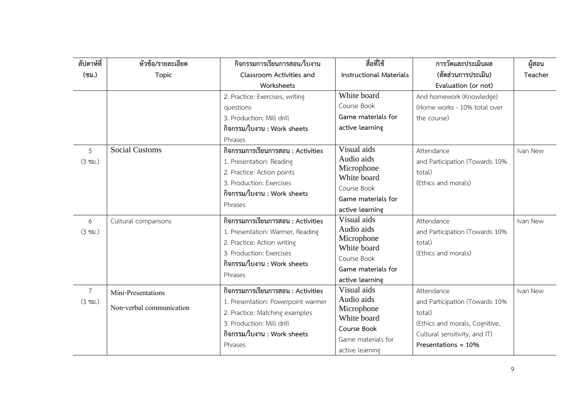| สัปดาห์ที่        | หัวข้อ/รายละเอียด        | กิจกรรมการเรียนการสอน/ใบงาน        | สื่อที่ใช้                     | การวัดและประเมินผล             | ผู้สอน   |
|-------------------|--------------------------|------------------------------------|--------------------------------|--------------------------------|----------|
| (ชม.)             | <b>Topic</b>             | Classroom Activities and           | <b>Instructional Materials</b> | (สัดส่วนการประเมิน)            | Teacher  |
|                   |                          | Worksheets                         |                                | Evaluation (or not)            |          |
|                   |                          | 2. Practice: Exercises, writing    | White board                    | And homework (Knowledge)       |          |
|                   |                          | questions                          | Course Book                    | (Home works - 10% total over   |          |
|                   |                          | 3. Production: Mill drill          | Game materials for             | the course)                    |          |
|                   |                          | กิจกรรม/ใบงาน : Work sheets        | active learning                |                                |          |
|                   |                          | Phrases                            |                                |                                |          |
| 5                 | <b>Social Customs</b>    | กิจกรรมการเรียนการสอน : Activities | Visual aids                    | Attendance                     | Ivan New |
| $(3 \text{ vi.})$ |                          | 1. Presentation: Reading           | Audio aids                     | and Participation (Towards 10% |          |
|                   |                          | 2. Practice: Action points         | Microphone                     | total)                         |          |
|                   |                          | 3. Production: Exercises           | White board                    | (Ethics and morals)            |          |
|                   |                          | กิจกรรม/ใบงาน : Work sheets        | Course Book                    |                                |          |
|                   |                          | Phrases                            | Game materials for             |                                |          |
|                   |                          | กิจกรรมการเรียนการสอน : Activities | active learning<br>Visual aids |                                |          |
| 6                 | Cultural comparisons     |                                    | Audio aids                     | Attendance                     | Ivan New |
| $(3 \text{ vi.})$ |                          | 1. Presentation: Warmer, Reading   | Microphone                     | and Participation (Towards 10% |          |
|                   |                          | 2. Practice: Action writing        | White board                    | total)                         |          |
|                   |                          | 3. Production: Exercises           | Course Book                    | (Ethics and morals)            |          |
|                   |                          | กิจกรรม/ใบงาน : Work sheets        | Game materials for             |                                |          |
|                   |                          | Phrases                            | active learning                |                                |          |
| $\overline{7}$    | Mini-Presentations       | กิจกรรมการเรียนการสอน : Activities | Visual aids                    | Attendance                     | Ivan New |
| $(3 \text{ vi.})$ |                          | 1. Presentation: Powerpoint warmer | Audio aids                     | and Participation (Towards 10% |          |
|                   | Non-verbal communication | 2. Practice: Matching examples     | Microphone                     | total)                         |          |
|                   |                          | 3. Production: Mill drill          | White board                    | (Ethics and morals, Cognitive, |          |
|                   |                          | กิจกรรม/ใบงาน : Work sheets        | Course Book                    | Cultural sensitivity, and IT)  |          |
|                   |                          | Phrases                            | Game materials for             | Presentations = 10%            |          |
|                   |                          |                                    | active learning                |                                |          |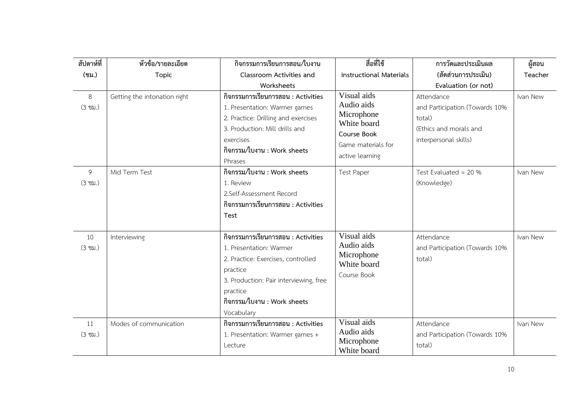| สัปดาห์ที่              | หัวข้อ/รายละเอียด            | กิจกรรมการเรียนการสอน/ใบงาน                                                                                                                                                                                        | สื่อที่ใช้                                                                                                     | การวัดและประเมินผล                                                                                        | ผู้สอน   |
|-------------------------|------------------------------|--------------------------------------------------------------------------------------------------------------------------------------------------------------------------------------------------------------------|----------------------------------------------------------------------------------------------------------------|-----------------------------------------------------------------------------------------------------------|----------|
| (ชม.)                   | <b>Topic</b>                 | Classroom Activities and                                                                                                                                                                                           | <b>Instructional Materials</b>                                                                                 | (สัดส่วนการประเมิน)                                                                                       | Teacher  |
|                         |                              | Worksheets                                                                                                                                                                                                         |                                                                                                                | Evaluation (or not)                                                                                       |          |
| 8<br>$(3 \text{ vi.})$  | Getting the intonation right | กิจกรรมการเรียนการสอน : Activities<br>1. Presentation: Warmer games<br>2. Practice: Drilling and exercises<br>3. Production: Mill drills and<br>exercises<br>กิจกรรม/ใบงาน : Work sheets<br>Phrases                | Visual aids<br>Audio aids<br>Microphone<br>White board<br>Course Book<br>Game materials for<br>active learning | Attendance<br>and Participation (Towards 10%<br>total)<br>(Ethics and morals and<br>interpersonal skills) | Ivan New |
| 9<br>$(3 \text{ vi.})$  | Mid Term Test                | กิจกรรม/ใบงาน : Work sheets<br>1. Review<br>2.Self-Assessment Record<br>กิจกรรมการเรียนการสอน : Activities<br>Test                                                                                                 | <b>Test Paper</b>                                                                                              | Test Evaluated = $20%$<br>(Knowledge)                                                                     | Ivan New |
| 10<br>$(3 \text{ u.})$  | Interviewing                 | กิจกรรมการเรียนการสอน : Activities<br>1. Presentation: Warmer<br>2. Practice: Exercises, controlled<br>practice<br>3. Production: Pair interviewing, free<br>practice<br>กิจกรรม/ใบงาน : Work sheets<br>Vocabulary | Visual aids<br>Audio aids<br>Microphone<br>White board<br>Course Book                                          | Attendance<br>and Participation (Towards 10%<br>total)                                                    | Ivan New |
| 11<br>$(3 \text{ vi.})$ | Modes of communication       | กิจกรรมการเรียนการสอน : Activities<br>1. Presentation: Warmer games +<br>Lecture                                                                                                                                   | Visual aids<br>Audio aids<br>Microphone<br>White board                                                         | Attendance<br>and Participation (Towards 10%<br>total)                                                    | Ivan New |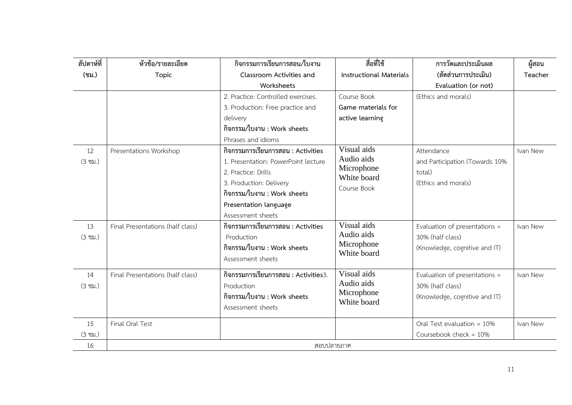| สัปดาห์ที่        | หัวข้อ/รายละเอียด                | กิจกรรมการเรียนการสอน/ใบงาน          | สื่อที่ใช้                     | การวัดและประเมินผล             | ผู้สอน   |
|-------------------|----------------------------------|--------------------------------------|--------------------------------|--------------------------------|----------|
| (ชม.)             | Topic                            | Classroom Activities and             | <b>Instructional Materials</b> | (สัดส่วนการประเมิน)            | Teacher  |
|                   |                                  | Worksheets                           |                                | Evaluation (or not)            |          |
|                   |                                  | 2. Practice: Controlled exercises.   | Course Book                    | (Ethics and morals)            |          |
|                   |                                  | 3. Production: Free practice and     | Game materials for             |                                |          |
|                   |                                  | delivery                             | active learning                |                                |          |
|                   |                                  | กิจกรรม/ใบงาน : Work sheets          |                                |                                |          |
|                   |                                  | Phrases and idioms                   |                                |                                |          |
| 12                | Presentations Workshop           | กิจกรรมการเรียนการสอน : Activities   | Visual aids                    | Attendance                     | Ivan New |
| $(3 \text{ vi.})$ |                                  | 1. Presentation: PowerPoint lecture  | Audio aids                     | and Participation (Towards 10% |          |
|                   |                                  | 2. Practice: Drills                  | Microphone<br>White board      | total)                         |          |
|                   |                                  | 3. Production: Delivery              |                                | (Ethics and morals)            |          |
|                   |                                  | กิจกรรม/ใบงาน : Work sheets          | Course Book                    |                                |          |
|                   |                                  | Presentation language                |                                |                                |          |
|                   |                                  | Assessment sheets                    |                                |                                |          |
| 13                | Final Presentations (half class) | กิจกรรมการเรียนการสอน : Activities   | Visual aids                    | Evaluation of presentations =  | Ivan New |
| $(3 \text{ vi.})$ |                                  | Production                           | Audio aids                     | 30% (half class)               |          |
|                   |                                  | กิจกรรม/ใบงาน : Work sheets          | Microphone<br>White board      | (Knowledge, cognitive and IT)  |          |
|                   |                                  | Assessment sheets                    |                                |                                |          |
| 14                | Final Presentations (half class) | กิจกรรมการเรียนการสอน : Activities3. | Visual aids                    | Evaluation of presentations =  | Ivan New |
| $(3 \text{ vi.})$ |                                  | Production                           | Audio aids                     | 30% (half class)               |          |
|                   |                                  | กิจกรรม/ใบงาน : Work sheets          | Microphone                     | (Knowledge, cognitive and IT)  |          |
|                   |                                  | Assessment sheets                    | White board                    |                                |          |
|                   |                                  |                                      |                                |                                |          |
| 15                | Final Oral Test                  |                                      |                                | Oral Test evaluation = $10\%$  | Ivan New |
| $(3 \text{ vi.})$ |                                  |                                      |                                | Coursebook check = $10\%$      |          |
| 16                |                                  |                                      | สอบปลายภาค                     |                                |          |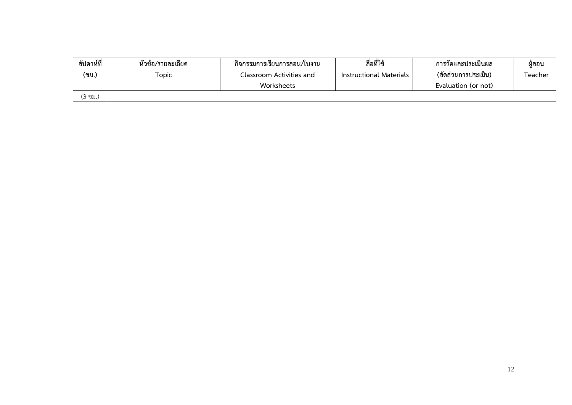| สัปดาห์ที่<br>(ชม.) | ້ ນ<br>หวข้อ/รายละเอยด<br>Topic | กิจกรรมการเรียนการสอน/ใบงาน<br>Classroom Activities and<br>Worksheets | สื่อที่ใช้<br>Instructional Materials | การวดและประเม่นผล<br>(สัดส่วนการประเมิน)<br>Evaluation (or not) | ผู้สอน<br>Teacher |
|---------------------|---------------------------------|-----------------------------------------------------------------------|---------------------------------------|-----------------------------------------------------------------|-------------------|
|                     |                                 |                                                                       |                                       |                                                                 |                   |
| (3 ซม.)             |                                 |                                                                       |                                       |                                                                 |                   |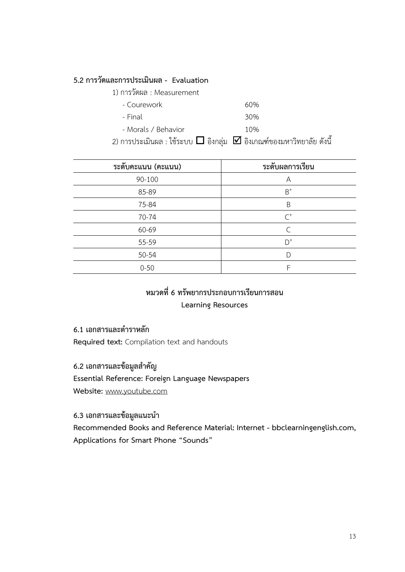#### **5.2 การวัดและการประเมินผล - Evaluation**

| 1) การวัดผล : Measurement |     |
|---------------------------|-----|
| - Courework               | 60% |
| - Final                   | 30% |
| - Morals / Behavior       | 10% |
|                           |     |

2) การประเมินผล : ใช้ระบบ  $\Box$  อิงกลุ่ม  $\boxdot$  อิงเกณฑ์ของมหาวิทยาลัย ดังนี้

| ระดับคะแนน (คะแนน) | ระดับผลการเรียน |  |
|--------------------|-----------------|--|
| 90-100             | A               |  |
| 85-89              | $B^+$           |  |
| 75-84              | B               |  |
| 70-74              | $C^+$           |  |
| 60-69              | $\subset$       |  |
| 55-59              | $D^+$           |  |
| $50 - 54$          |                 |  |
| $0 - 50$           | F               |  |

## **หมวดที่6 ทรัพยากรประกอบการเรียนการสอน**

#### **Learning Resources**

#### **6.1 เอกสารและต าราหลัก**

**Required text:** Compilation text and handouts

#### **6.2 เอกสารและข้อมูลส าคัญ**

**Essential Reference: Foreign Language Newspapers**

**Website:** [www.youtube.com](http://www.youtube.com/)

#### **6.3 เอกสารและข้อมูลแนะน า**

**Recommended Books and Reference Material: Internet - bbclearningenglish.com, Applications for Smart Phone "Sounds"**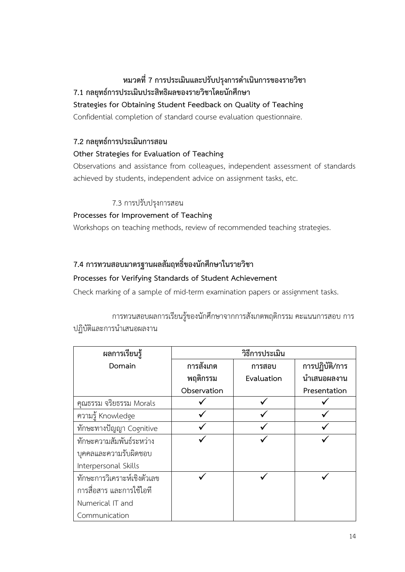### **หมวดที่7 การประเมินและปรับปรุงการด าเนินการของรายวิชา 7.1 กลยุทธ์การประเมินประสิทธิผลของรายวิชาโดยนักศึกษา**

#### **Strategies for Obtaining Student Feedback on Quality of Teaching**

Confidential completion of standard course evaluation questionnaire.

#### **7.2 กลยุทธ์การประเมินการสอน**

#### **Other Strategies for Evaluation of Teaching**

Observations and assistance from colleagues, independent assessment of standards achieved by students, independent advice on assignment tasks, etc.

#### 7.3 การปรับปรุงการสอน

#### **Processes for Improvement of Teaching**

Workshops on teaching methods, review of recommended teaching strategies.

#### **7.4 การทวนสอบมาตรฐานผลสัมฤทธิ์ของนักศึกษาในรายวิชา**

#### **Processes for Verifying Standards of Student Achievement**

Check marking of a sample of mid-term examination papers or assignment tasks.

## การทวนสอบผลการเรียนรู้ของนักศึกษาจากการสังเกตพฤติกรรม คะแนนการสอบ การ

ปฏิบัติและการนำเสนอผลงาน

| ผลการเรียนรู้               | วิธีการประเมิน |            |                |
|-----------------------------|----------------|------------|----------------|
| Domain                      | การสังเกต      | การสอบ     | การปฏิบัติ/การ |
|                             | พฤติกรรม       | Evaluation | นำเสนอผลงาน    |
|                             | Observation    |            | Presentation   |
| คุณธรรม จริยธรรม Morals     |                |            |                |
| ความรู้ Knowledge           |                |            |                |
| ทักษะทางปัญญา Cognitive     |                |            |                |
| ทักษะความสัมพันธ์ระหว่าง    |                |            |                |
| บุคคลและความรับผิดชอบ       |                |            |                |
| Interpersonal Skills        |                |            |                |
| ทักษะการวิเคราะห์เชิงตัวเลข |                |            |                |
| การสื่อสาร และการใช้ไอที    |                |            |                |
| Numerical IT and            |                |            |                |
| Communication               |                |            |                |